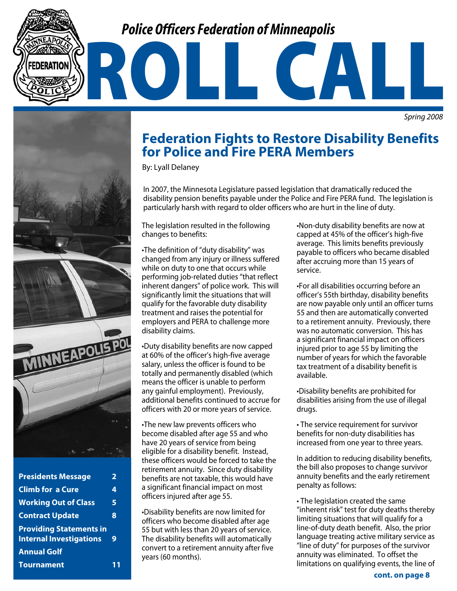# *Police Officers Federation of Minneapolis*

*Spring 2008*



| <b>Presidents Message</b>                                        | 2 |
|------------------------------------------------------------------|---|
| <b>Climb for a Cure</b>                                          | 4 |
| <b>Working Out of Class</b>                                      | 5 |
| <b>Contract Update</b>                                           | 8 |
| <b>Providing Statements in</b><br><b>Internal Investigations</b> | 9 |
| <b>Annual Golf</b>                                               |   |
| <b>Tournament</b>                                                |   |
|                                                                  |   |

### **Federation Fights to Restore Disability Benefits for Police and Fire PERA Members**

ROLL CALL

By: Lyall Delaney

In 2007, the Minnesota Legislature passed legislation that dramatically reduced the disability pension benefits payable under the Police and Fire PERA fund. The legislation is particularly harsh with regard to older officers who are hurt in the line of duty.

The legislation resulted in the following changes to benefits:

•The definition of "duty disability" was changed from any injury or illness suffered while on duty to one that occurs while performing job-related duties "that reflect inherent dangers" of police work. This will significantly limit the situations that will qualify for the favorable duty disability treatment and raises the potential for employers and PERA to challenge more disability claims.

•Duty disability benefits are now capped at 60% of the officer's high-five average salary, unless the officer is found to be totally and permanently disabled (which means the officer is unable to perform any gainful employment). Previously, additional benefits continued to accrue for officers with 20 or more years of service.

•The new law prevents officers who become disabled after age 55 and who have 20 years of service from being eligible for a disability benefit. Instead, these officers would be forced to take the retirement annuity. Since duty disability benefits are not taxable, this would have a significant financial impact on most officers injured after age 55.

•Disability benefits are now limited for officers who become disabled after age 55 but with less than 20 years of service. The disability benefits will automatically convert to a retirement annuity after five years (60 months).

•Non-duty disability benefits are now at capped at 45% of the officer's high-five average. This limits benefits previously payable to officers who became disabled after accruing more than 15 years of service.

•For all disabilities occurring before an officer's 55th birthday, disability benefits are now payable only until an officer turns 55 and then are automatically converted to a retirement annuity. Previously, there was no automatic conversion. This has a significant financial impact on officers injured prior to age 55 by limiting the number of years for which the favorable tax treatment of a disability benefit is available.

•Disability benefits are prohibited for disabilities arising from the use of illegal drugs.

• The service requirement for survivor benefits for non-duty disabilities has increased from one year to three years.

In addition to reducing disability benefits, the bill also proposes to change survivor annuity benefits and the early retirement penalty as follows:

• The legislation created the same "inherent risk" test for duty deaths thereby limiting situations that will qualify for a line-of-duty death benefit. Also, the prior language treating active military service as "line of duty" for purposes of the survivor annuity was eliminated. To offset the limitations on qualifying events, the line of

**cont. on page 8**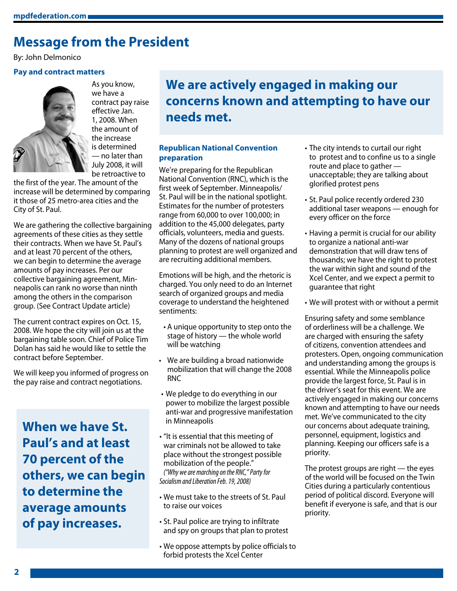### **Message from the President**

By: John Delmonico

#### **Pay and contract matters**



we have a contract pay raise effective Jan. 1, 2008. When the amount of the increase is determined — no later than July 2008, it will be retroactive to

As you know,

the first of the year. The amount of the increase will be determined by comparing it those of 25 metro-area cities and the City of St. Paul.

We are gathering the collective bargaining agreements of these cities as they settle their contracts. When we have St. Paul's and at least 70 percent of the others, we can begin to determine the average amounts of pay increases. Per our collective bargaining agreement, Minneapolis can rank no worse than ninth among the others in the comparison group. (See Contract Update article)

The current contract expires on Oct. 15, 2008. We hope the city will join us at the bargaining table soon. Chief of Police Tim Dolan has said he would like to settle the contract before September.

We will keep you informed of progress on the pay raise and contract negotiations.

**When we have St. Paul's and at least 70 percent of the others, we can begin to determine the average amounts of pay increases.**

### **We are actively engaged in making our concerns known and attempting to have our needs met.**

### **Republican National Convention preparation**

We're preparing for the Republican National Convention (RNC), which is the first week of September. Minneapolis/ St. Paul will be in the national spotlight. Estimates for the number of protesters range from 60,000 to over 100,000; in addition to the 45,000 delegates, party officials, volunteers, media and guests. Many of the dozens of national groups planning to protest are well organized and are recruiting additional members.

Emotions will be high, and the rhetoric is charged. You only need to do an Internet search of organized groups and media coverage to understand the heightened sentiments:

- A unique opportunity to step onto the stage of history — the whole world will be watching
- We are building a broad nationwide mobilization that will change the 2008 RNC
- We pledge to do everything in our power to mobilize the largest possible anti-war and progressive manifestation in Minneapolis
- "It is essential that this meeting of war criminals not be allowed to take place without the strongest possible mobilization of the people." *("Why we are marching on the RNC," Party for Socialism and Liberation Feb. 19, 2008)*
- We must take to the streets of St. Paul to raise our voices
- St. Paul police are trying to infiltrate and spy on groups that plan to protest
- We oppose attempts by police officials to forbid protests the Xcel Center
- The city intends to curtail our right to protest and to confine us to a single route and place to gather unacceptable; they are talking about glorified protest pens
- St. Paul police recently ordered 230 additional taser weapons — enough for every officer on the force
- Having a permit is crucial for our ability to organize a national anti-war demonstration that will draw tens of thousands; we have the right to protest the war within sight and sound of the Xcel Center, and we expect a permit to guarantee that right
- We will protest with or without a permit

Ensuring safety and some semblance of orderliness will be a challenge. We are charged with ensuring the safety of citizens, convention attendees and protesters. Open, ongoing communication and understanding among the groups is essential. While the Minneapolis police provide the largest force, St. Paul is in the driver's seat for this event. We are actively engaged in making our concerns known and attempting to have our needs met. We've communicated to the city our concerns about adequate training, personnel, equipment, logistics and planning. Keeping our officers safe is a priority.

The protest groups are right — the eyes of the world will be focused on the Twin Cities during a particularly contentious period of political discord. Everyone will benefit if everyone is safe, and that is our priority.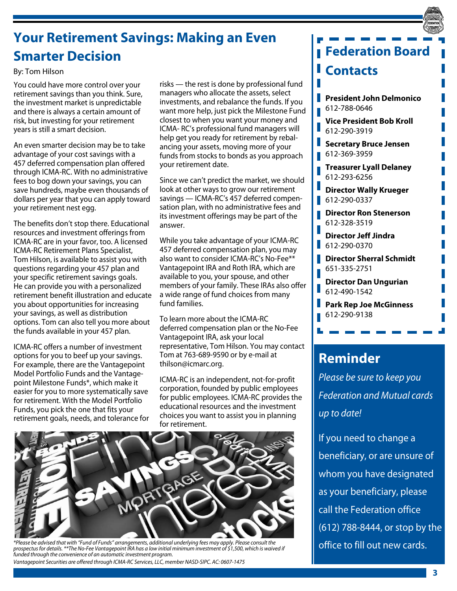# **Your Retirement Savings: Making an Even Smarter Decision**

### By: Tom Hilson

You could have more control over your retirement savings than you think. Sure, the investment market is unpredictable and there is always a certain amount of risk, but investing for your retirement years is still a smart decision.

An even smarter decision may be to take advantage of your cost savings with a 457 deferred compensation plan offered through ICMA-RC. With no administrative fees to bog down your savings, you can save hundreds, maybe even thousands of dollars per year that you can apply toward your retirement nest egg.

The benefits don't stop there. Educational resources and investment offerings from ICMA-RC are in your favor, too. A licensed ICMA-RC Retirement Plans Specialist, Tom Hilson, is available to assist you with questions regarding your 457 plan and your specific retirement savings goals. He can provide you with a personalized retirement benefit illustration and educate you about opportunities for increasing your savings, as well as distribution options. Tom can also tell you more about the funds available in your 457 plan.

ICMA-RC offers a number of investment options for you to beef up your savings. For example, there are the Vantagepoint Model Portfolio Funds and the Vantagepoint Milestone Funds\*, which make it easier for you to more systematically save for retirement. With the Model Portfolio Funds, you pick the one that fits your retirement goals, needs, and tolerance for

risks — the rest is done by professional fund managers who allocate the assets, select investments, and rebalance the funds. If you want more help, just pick the Milestone Fund closest to when you want your money and ICMA- RC's professional fund managers will help get you ready for retirement by rebalancing your assets, moving more of your funds from stocks to bonds as you approach your retirement date.

Since we can't predict the market, we should look at other ways to grow our retirement savings — ICMA-RC's 457 deferred compensation plan, with no administrative fees and its investment offerings may be part of the answer.

While you take advantage of your ICMA-RC 457 deferred compensation plan, you may also want to consider ICMA-RC's No-Fee\*\* Vantagepoint IRA and Roth IRA, which are available to you, your spouse, and other members of your family. These IRAs also offer a wide range of fund choices from many fund families.

To learn more about the ICMA-RC deferred compensation plan or the No-Fee Vantagepoint IRA, ask your local representative, Tom Hilson. You may contact Tom at 763-689-9590 or by e-mail at thilson@icmarc.org.

ICMA-RC is an independent, not-for-profit corporation, founded by public employees for public employees. ICMA-RC provides the educational resources and the investment choices you want to assist you in planning for retirement.



*\*Please be advised that with "Fund of Funds" arrangements, additional underlying fees may apply. Please consult the prospectus for details. \*\*The No-Fee Vantagepoint IRA has a low initial minimum investment of \$1,500, which is waived if funded through the convenience of an automatic investment program. Vantagepoint Securities are offered through ICMA-RC Services, LLC, member NASD-SIPC. AC: 0607-1475*

| <b>Federation Board</b>                                 |
|---------------------------------------------------------|
| <b>Contacts</b>                                         |
| I<br><b>President John Delmonico</b><br>612-788-0646    |
| <b>Vice President Bob Kroll</b><br>612-290-3919         |
| I<br><b>Secretary Bruce Jensen</b><br>612-369-3959<br>I |
| <b>Treasurer Lyall Delaney</b><br>612-293-6256          |
| I<br><b>Director Wally Krueger</b><br>I<br>612-290-0337 |
| <b>Director Ron Stenerson</b><br>612-328-3519           |
| <b>Director Jeff Jindra</b><br>ı<br>612-290-0370        |
| l.<br><b>Director Sherral Schmidt</b><br>651-335-2751   |
| Director Dan Ungurian<br>I<br>612-490-1542              |
| <b>Park Rep Joe McGinness</b><br>612-290-9138           |

# **Reminder**

*Please be sure to keep you Federation and Mutual cards up to date!* 

If you need to change a beneficiary, or are unsure of whom you have designated as your beneficiary, please call the Federation office (612) 788-8444, or stop by the office to fill out new cards.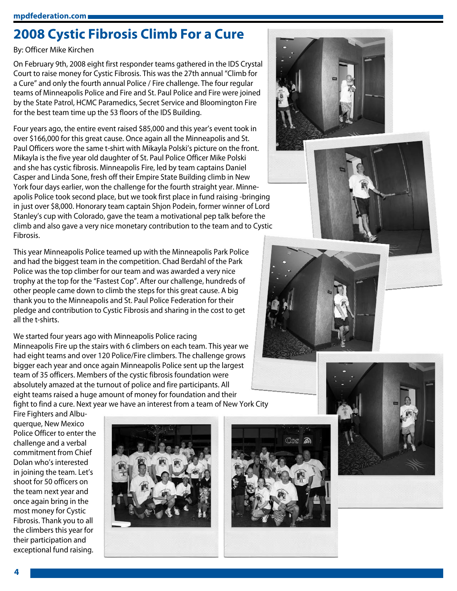# **2008 Cystic Fibrosis Climb For a Cure**

### By: Officer Mike Kirchen

On February 9th, 2008 eight first responder teams gathered in the IDS Crystal Court to raise money for Cystic Fibrosis. This was the 27th annual "Climb for a Cure" and only the fourth annual Police / Fire challenge. The four regular teams of Minneapolis Police and Fire and St. Paul Police and Fire were joined by the State Patrol, HCMC Paramedics, Secret Service and Bloomington Fire for the best team time up the 53 floors of the IDS Building.

Four years ago, the entire event raised \$85,000 and this year's event took in over \$166,000 for this great cause. Once again all the Minneapolis and St. Paul Officers wore the same t-shirt with Mikayla Polski's picture on the front. Mikayla is the five year old daughter of St. Paul Police Officer Mike Polski and she has cystic fibrosis. Minneapolis Fire, led by team captains Daniel Casper and Linda Sone, fresh off their Empire State Building climb in New York four days earlier, won the challenge for the fourth straight year. Minneapolis Police took second place, but we took first place in fund raising -bringing in just over \$8,000. Honorary team captain Shjon Podein, former winner of Lord Stanley's cup with Colorado, gave the team a motivational pep talk before the climb and also gave a very nice monetary contribution to the team and to Cystic Fibrosis.

This year Minneapolis Police teamed up with the Minneapolis Park Police and had the biggest team in the competition. Chad Berdahl of the Park Police was the top climber for our team and was awarded a very nice trophy at the top for the "Fastest Cop". After our challenge, hundreds of other people came down to climb the steps for this great cause. A big thank you to the Minneapolis and St. Paul Police Federation for their pledge and contribution to Cystic Fibrosis and sharing in the cost to get all the t-shirts.

We started four years ago with Minneapolis Police racing Minneapolis Fire up the stairs with 6 climbers on each team. This year we had eight teams and over 120 Police/Fire climbers. The challenge grows bigger each year and once again Minneapolis Police sent up the largest team of 35 officers. Members of the cystic fibrosis foundation were absolutely amazed at the turnout of police and fire participants. All eight teams raised a huge amount of money for foundation and their fight to find a cure. Next year we have an interest from a team of New York City

Fire Fighters and Albuquerque, New Mexico Police Officer to enter the challenge and a verbal commitment from Chief Dolan who's interested in joining the team. Let's shoot for 50 officers on the team next year and once again bring in the most money for Cystic Fibrosis. Thank you to all the climbers this year for their participation and exceptional fund raising.









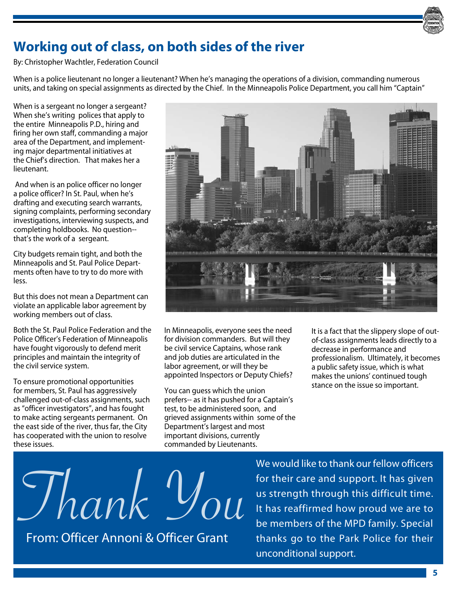

# **Working out of class, on both sides of the river**

By: Christopher Wachtler, Federation Council

When is a police lieutenant no longer a lieutenant? When he's managing the operations of a division, commanding numerous units, and taking on special assignments as directed by the Chief. In the Minneapolis Police Department, you call him "Captain"

When is a sergeant no longer a sergeant? When she's writing polices that apply to the entire Minneapolis P.D., hiring and firing her own staff, commanding a major area of the Department, and implementing major departmental initiatives at the Chief's direction. That makes her a lieutenant.

 And when is an police officer no longer a police officer? In St. Paul, when he's drafting and executing search warrants, signing complaints, performing secondary investigations, interviewing suspects, and completing holdbooks. No question- that's the work of a sergeant.

City budgets remain tight, and both the Minneapolis and St. Paul Police Departments often have to try to do more with less.

But this does not mean a Department can violate an applicable labor agreement by working members out of class.

Both the St. Paul Police Federation and the Police Officer's Federation of Minneapolis have fought vigorously to defend merit principles and maintain the integrity of the civil service system.

To ensure promotional opportunities for members, St. Paul has aggressively challenged out-of-class assignments, such as "officer investigators", and has fought to make acting sergeants permanent. On the east side of the river, thus far, the City has cooperated with the union to resolve these issues.



In Minneapolis, everyone sees the need for division commanders. But will they be civil service Captains, whose rank and job duties are articulated in the labor agreement, or will they be appointed Inspectors or Deputy Chiefs?

You can guess which the union prefers-- as it has pushed for a Captain's test, to be administered soon, and grieved assignments within some of the Department's largest and most important divisions, currently commanded by Lieutenants.

It is a fact that the slippery slope of outof-class assignments leads directly to a decrease in performance and professionalism. Ultimately, it becomes a public safety issue, which is what makes the unions' continued tough stance on the issue so important.

Thank You

From: Officer Annoni & Officer Grant

We would like to thank our fellow officers for their care and support. It has given us strength through this difficult time. It has reaffirmed how proud we are to be members of the MPD family. Special thanks go to the Park Police for their unconditional support.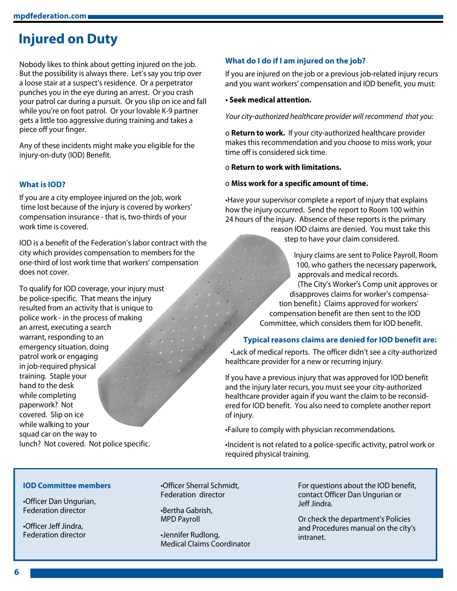# **Injured on Duty**

Nobody likes to think about getting injured on the job. But the possibility is always there. Let's say you trip over a loose stair at a suspect's residence. Or a perpetrator punches you in the eye during an arrest. Or you crash your patrol car during a pursuit. Or you slip on ice and fall while you're on foot patrol. Or your lovable K-9 partner gets a little too aggressive during training and takes a piece off your finger.

Any of these incidents might make you eligible for the injury-on-duty (IOD) Benefit.

### **What is IOD?**

If you are a city employee injured on the job, work time lost because of the injury is covered by workers' compensation insurance - that is, two-thirds of your work time is covered.

IOD is a benefit of the Federation's labor contract with the city which provides compensation to members for the one-third of lost work time that workers' compensation does not cover.

To qualify for IOD coverage, your injury must be police-specific. That means the injury resulted from an activity that is unique to police work - in the process of making an arrest, executing a search warrant, responding to an emergency situation, doing patrol work or engaging in job-required physical training. Staple your hand to the desk while completing paperwork? Not covered. Slip on ice while walking to your squad car on the way to lunch? Not covered. Not police specific.

### **What do I do if I am injured on the job?**

If you are injured on the job or a previous job-related injury recurs and you want workers' compensation and IOD benefit, you must:

#### **• Seek medical attention.**

*Your city-authorized healthcare provider will recommend that you:*

o **Return to work.** If your city-authorized healthcare provider makes this recommendation and you choose to miss work, your time off is considered sick time.

#### o **Return to work with limitations.**

#### o **Miss work for a specific amount of time.**

•Have your supervisor complete a report of injury that explains how the injury occurred. Send the report to Room 100 within 24 hours of the injury. Absence of these reports is the primary

reason IOD claims are denied. You must take this step to have your claim considered.

Injury claims are sent to Police Payroll, Room 100, who gathers the necessary paperwork, approvals and medical records. (The City's Worker's Comp unit approves or disapproves claims for worker's compensation benefit.) Claims approved for workers' compensation benefit are then sent to the IOD Committee, which considers them for IOD benefit.

#### **Typical reasons claims are denied for IOD benefit are:**

•Lack of medical reports. The officer didn't see a city-authorized healthcare provider for a new or recurring injury.

If you have a previous injury that was approved for IOD benefit and the injury later recurs, you must see your city-authorized healthcare provider again if you want the claim to be reconsidered for IOD benefit. You also need to complete another report of injury.

•Failure to comply with physician recommendations.

•Incident is not related to a police-specific activity, patrol work or required physical training.

#### **IOD Committee members**

•Officer Dan Ungurian, Federation director

•Officer Jeff Jindra, Federation director •Officer Sherral Schmidt, Federation director

•Bertha Gabrish, MPD Payroll

•Jennifer Rudlong, Medical Claims Coordinator For questions about the IOD benefit, contact Officer Dan Ungurian or Jeff Jindra.

Or check the department's Policies and Procedures manual on the city's intranet.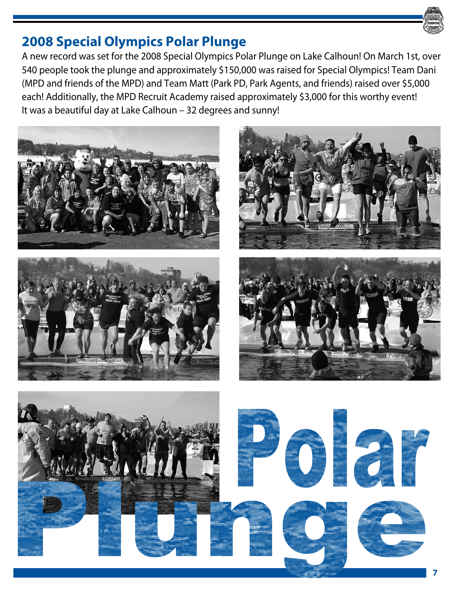

### **2008 Special Olympics Polar Plunge**

A new record was set for the 2008 Special Olympics Polar Plunge on Lake Calhoun! On March 1st, over 540 people took the plunge and approximately \$150,000 was raised for Special Olympics! Team Dani (MPD and friends of the MPD) and Team Matt (Park PD, Park Agents, and friends) raised over \$5,000 each! Additionally, the MPD Recruit Academy raised approximately \$3,000 for this worthy event! It was a beautiful day at Lake Calhoun – 32 degrees and sunny!









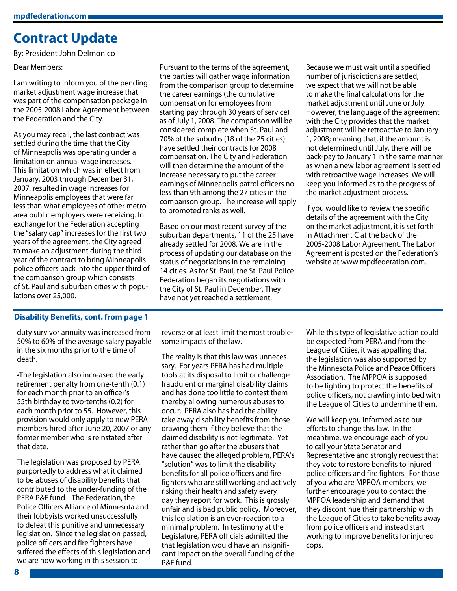### **Contract Update**

By: President John Delmonico

Dear Members:

I am writing to inform you of the pending market adjustment wage increase that was part of the compensation package in the 2005-2008 Labor Agreement between the Federation and the City.

As you may recall, the last contract was settled during the time that the City of Minneapolis was operating under a limitation on annual wage increases. This limitation which was in effect from January, 2003 through December 31, 2007, resulted in wage increases for Minneapolis employees that were far less than what employees of other metro area public employers were receiving. In exchange for the Federation accepting the "salary cap" increases for the first two years of the agreement, the City agreed to make an adjustment during the third year of the contract to bring Minneapolis police officers back into the upper third of the comparison group which consists of St. Paul and suburban cities with populations over 25,000.

Pursuant to the terms of the agreement, the parties will gather wage information from the comparison group to determine the career earnings (the cumulative compensation for employees from starting pay through 30 years of service) as of July 1, 2008. The comparison will be considered complete when St. Paul and 70% of the suburbs (18 of the 25 cities) have settled their contracts for 2008 compensation. The City and Federation will then determine the amount of the increase necessary to put the career earnings of Minneapolis patrol officers no less than 9th among the 27 cities in the comparison group. The increase will apply to promoted ranks as well.

Based on our most recent survey of the suburban departments, 11 of the 25 have already settled for 2008. We are in the process of updating our database on the status of negotiations in the remaining 14 cities. As for St. Paul, the St. Paul Police Federation began its negotiations with the City of St. Paul in December. They have not yet reached a settlement.

Because we must wait until a specified number of jurisdictions are settled, we expect that we will not be able to make the final calculations for the market adjustment until June or July. However, the language of the agreement with the City provides that the market adjustment will be retroactive to January 1, 2008; meaning that, if the amount is not determined until July, there will be back-pay to January 1 in the same manner as when a new labor agreement is settled with retroactive wage increases. We will keep you informed as to the progress of the market adjustment process.

If you would like to review the specific details of the agreement with the City on the market adjustment, it is set forth in Attachment C at the back of the 2005-2008 Labor Agreement. The Labor Agreement is posted on the Federation's website at www.mpdfederation.com.

#### **Disability Benefits, cont. from page 1**

duty survivor annuity was increased from 50% to 60% of the average salary payable in the six months prior to the time of death.

•The legislation also increased the early retirement penalty from one-tenth (0.1) for each month prior to an officer's 55th birthday to two-tenths (0.2) for each month prior to 55. However, this provision would only apply to new PERA members hired after June 20, 2007 or any former member who is reinstated after that date.

The legislation was proposed by PERA purportedly to address what it claimed to be abuses of disability benefits that contributed to the under-funding of the PERA P&F fund. The Federation, the Police Officers Alliance of Minnesota and their lobbyists worked unsuccessfully to defeat this punitive and unnecessary legislation. Since the legislation passed, police officers and fire fighters have suffered the effects of this legislation and we are now working in this session to

reverse or at least limit the most troublesome impacts of the law.

The reality is that this law was unnecessary. For years PERA has had multiple tools at its disposal to limit or challenge fraudulent or marginal disability claims and has done too little to contest them thereby allowing numerous abuses to occur. PERA also has had the ability take away disability benefits from those drawing them if they believe that the claimed disability is not legitimate. Yet rather than go after the abusers that have caused the alleged problem, PERA's "solution" was to limit the disability benefits for all police officers and fire fighters who are still working and actively risking their health and safety every day they report for work. This is grossly unfair and is bad public policy. Moreover, this legislation is an over-reaction to a minimal problem. In testimony at the Legislature, PERA officials admitted the that legislation would have an insignificant impact on the overall funding of the P&F fund.

While this type of legislative action could be expected from PERA and from the League of Cities, it was appalling that the legislation was also supported by the Minnesota Police and Peace Officers Association. The MPPOA is supposed to be fighting to protect the benefits of police officers, not crawling into bed with the League of Cities to undermine them.

We will keep you informed as to our efforts to change this law. In the meantime, we encourage each of you to call your State Senator and Representative and strongly request that they vote to restore benefits to injured police officers and fire fighters. For those of you who are MPPOA members, we further encourage you to contact the MPPOA leadership and demand that they discontinue their partnership with the League of Cities to take benefits away from police officers and instead start working to improve benefits for injured cops.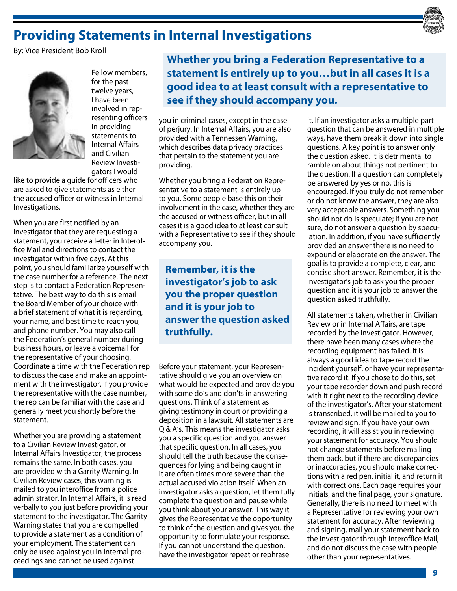# **Providing Statements in Internal Investigations**

By: Vice President Bob Kroll



Fellow members, for the past twelve years, I have been involved in representing officers in providing statements to Internal Affairs and Civilian Review Investigators I would

like to provide a guide for officers who are asked to give statements as either the accused officer or witness in Internal Investigations.

When you are first notified by an investigator that they are requesting a statement, you receive a letter in Interoffice Mail and directions to contact the investigator within five days. At this point, you should familiarize yourself with the case number for a reference. The next step is to contact a Federation Representative. The best way to do this is email the Board Member of your choice with a brief statement of what it is regarding, your name, and best time to reach you, and phone number. You may also call the Federation's general number during business hours, or leave a voicemail for the representative of your choosing. Coordinate a time with the Federation rep to discuss the case and make an appointment with the investigator. If you provide the representative with the case number, the rep can be familiar with the case and generally meet you shortly before the statement.

Whether you are providing a statement to a Civilian Review Investigator, or Internal Affairs Investigator, the process remains the same. In both cases, you are provided with a Garrity Warning. In Civilian Review cases, this warning is mailed to you interoffice from a police administrator. In Internal Affairs, it is read verbally to you just before providing your statement to the investigator. The Garrity Warning states that you are compelled to provide a statement as a condition of your employment. The statement can only be used against you in internal proceedings and cannot be used against

**Whether you bring a Federation Representative to a statement is entirely up to you…but in all cases it is a good idea to at least consult with a representative to see if they should accompany you.**

you in criminal cases, except in the case of perjury. In Internal Affairs, you are also provided with a Tennessen Warning, which describes data privacy practices that pertain to the statement you are providing.

Whether you bring a Federation Representative to a statement is entirely up to you. Some people base this on their involvement in the case, whether they are the accused or witness officer, but in all cases it is a good idea to at least consult with a Representative to see if they should accompany you.

**Remember, it is the investigator's job to ask you the proper question and it is your job to answer the question asked truthfully.**

Before your statement, your Representative should give you an overview on what would be expected and provide you with some do's and don'ts in answering questions. Think of a statement as giving testimony in court or providing a deposition in a lawsuit. All statements are Q & A's. This means the investigator asks you a specific question and you answer that specific question. In all cases, you should tell the truth because the consequences for lying and being caught in it are often times more severe than the actual accused violation itself. When an investigator asks a question, let them fully complete the question and pause while you think about your answer. This way it gives the Representative the opportunity to think of the question and gives you the opportunity to formulate your response. If you cannot understand the question, have the investigator repeat or rephrase

it. If an investigator asks a multiple part question that can be answered in multiple ways, have them break it down into single questions. A key point is to answer only the question asked. It is detrimental to ramble on about things not pertinent to the question. If a question can completely be answered by yes or no, this is encouraged. If you truly do not remember or do not know the answer, they are also very acceptable answers. Something you should not do is speculate; if you are not sure, do not answer a question by speculation. In addition, if you have sufficiently provided an answer there is no need to expound or elaborate on the answer. The goal is to provide a complete, clear, and concise short answer. Remember, it is the investigator's job to ask you the proper question and it is your job to answer the question asked truthfully.

All statements taken, whether in Civilian Review or in Internal Affairs, are tape recorded by the investigator. However, there have been many cases where the recording equipment has failed. It is always a good idea to tape record the incident yourself, or have your representative record it. If you chose to do this, set your tape recorder down and push record with it right next to the recording device of the investigator's. After your statement is transcribed, it will be mailed to you to review and sign. If you have your own recording, it will assist you in reviewing your statement for accuracy. You should not change statements before mailing them back, but if there are discrepancies or inaccuracies, you should make corrections with a red pen, initial it, and return it with corrections. Each page requires your initials, and the final page, your signature. Generally, there is no need to meet with a Representative for reviewing your own statement for accuracy. After reviewing and signing, mail your statement back to the investigator through Interoffice Mail, and do not discuss the case with people other than your representatives.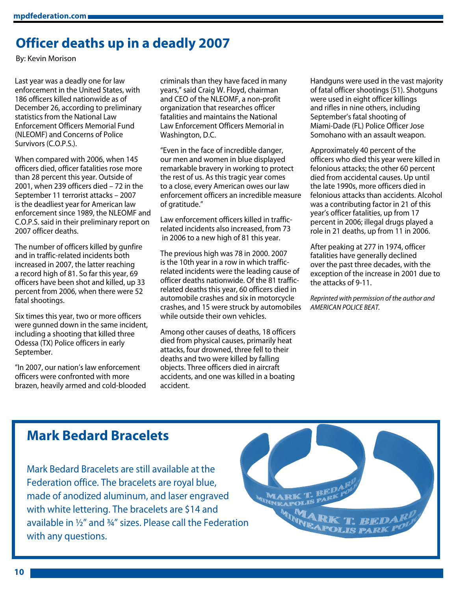# **Officer deaths up in a deadly 2007**

By: Kevin Morison

Last year was a deadly one for law enforcement in the United States, with 186 officers killed nationwide as of December 26, according to preliminary statistics from the National Law Enforcement Officers Memorial Fund (NLEOMF) and Concerns of Police Survivors (C.O.P.S.).

When compared with 2006, when 145 officers died, officer fatalities rose more than 28 percent this year. Outside of 2001, when 239 officers died – 72 in the September 11 terrorist attacks – 2007 is the deadliest year for American law enforcement since 1989, the NLEOMF and C.O.P.S. said in their preliminary report on 2007 officer deaths.

The number of officers killed by gunfire and in traffic-related incidents both increased in 2007, the latter reaching a record high of 81. So far this year, 69 officers have been shot and killed, up 33 percent from 2006, when there were 52 fatal shootings.

Six times this year, two or more officers were gunned down in the same incident, including a shooting that killed three Odessa (TX) Police officers in early September.

"In 2007, our nation's law enforcement officers were confronted with more brazen, heavily armed and cold-blooded criminals than they have faced in many years," said Craig W. Floyd, chairman and CEO of the NLEOMF, a non-profit organization that researches officer fatalities and maintains the National Law Enforcement Officers Memorial in Washington, D.C.

"Even in the face of incredible danger, our men and women in blue displayed remarkable bravery in working to protect the rest of us. As this tragic year comes to a close, every American owes our law enforcement officers an incredible measure of gratitude."

Law enforcement officers killed in trafficrelated incidents also increased, from 73 in 2006 to a new high of 81 this year.

The previous high was 78 in 2000. 2007 is the 10th year in a row in which trafficrelated incidents were the leading cause of officer deaths nationwide. Of the 81 trafficrelated deaths this year, 60 officers died in automobile crashes and six in motorcycle crashes, and 15 were struck by automobiles while outside their own vehicles.

Among other causes of deaths, 18 officers died from physical causes, primarily heat attacks, four drowned, three fell to their deaths and two were killed by falling objects. Three officers died in aircraft accidents, and one was killed in a boating accident.

Handguns were used in the vast majority of fatal officer shootings (51). Shotguns were used in eight officer killings and rifles in nine others, including September's fatal shooting of Miami-Dade (FL) Police Officer Jose Somohano with an assault weapon.

Approximately 40 percent of the officers who died this year were killed in felonious attacks; the other 60 percent died from accidental causes. Up until the late 1990s, more officers died in felonious attacks than accidents. Alcohol was a contributing factor in 21 of this year's officer fatalities, up from 17 percent in 2006; illegal drugs played a role in 21 deaths, up from 11 in 2006.

After peaking at 277 in 1974, officer fatalities have generally declined over the past three decades, with the exception of the increase in 2001 due to the attacks of 9-11.

*Reprinted with permission of the author and AMERICAN POLICE BEAT.*

### **Mark Bedard Bracelets**

Mark Bedard Bracelets are still available at the Federation office. The bracelets are royal blue, made of anodized aluminum, and laser engraved with white lettering. The bracelets are \$14 and available in ½" and ¾" sizes. Please call the Federation with any questions.

**MARK**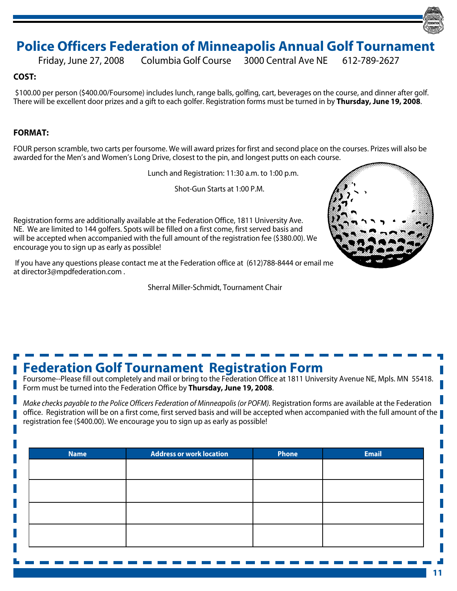### **Police Officers Federation of Minneapolis Annual Golf Tournament**

Friday, June 27, 2008 Columbia Golf Course 3000 Central Ave NE 612-789-2627

### **COST:**

\$100.00 per person (\$400.00/Foursome) includes lunch, range balls, golfing, cart, beverages on the course, and dinner after golf. There will be excellent door prizes and a gift to each golfer. Registration forms must be turned in by **Thursday, June 19, 2008**.

### **FORMAT:**

FOUR person scramble, two carts per foursome. We will award prizes for first and second place on the courses. Prizes will also be awarded for the Men's and Women's Long Drive, closest to the pin, and longest putts on each course.

Lunch and Registration: 11:30 a.m. to 1:00 p.m.

Shot-Gun Starts at 1:00 P.M.

Registration forms are additionally available at the Federation Office, 1811 University Ave. NE. We are limited to 144 golfers. Spots will be filled on a first come, first served basis and will be accepted when accompanied with the full amount of the registration fee (\$380.00). We encourage you to sign up as early as possible!

 If you have any questions please contact me at the Federation office at (612)788-8444 or email me at director3@mpdfederation.com .

Sherral Miller-Schmidt, Tournament Chair



# **Federation Golf Tournament Registration Form**

Foursome--Please fill out completely and mail or bring to the Federation Office at 1811 University Avenue NE, Mpls. MN 55418. Form must be turned into the Federation Office by **Thursday, June 19, 2008**.

*Make checks payable to the Police Officers Federation of Minneapolis (or POFM).* Registration forms are available at the Federation office. Registration will be on a first come, first served basis and will be accepted when accompanied with the full amount of the registration fee (\$400.00). We encourage you to sign up as early as possible!

| <b>Name</b> | <b>Address or work location</b> | Phone | <b>Email</b> |
|-------------|---------------------------------|-------|--------------|
|             |                                 |       |              |
|             |                                 |       |              |
|             |                                 |       |              |
|             |                                 |       |              |
|             |                                 |       |              |
|             |                                 |       |              |
|             |                                 |       |              |
|             |                                 |       |              |